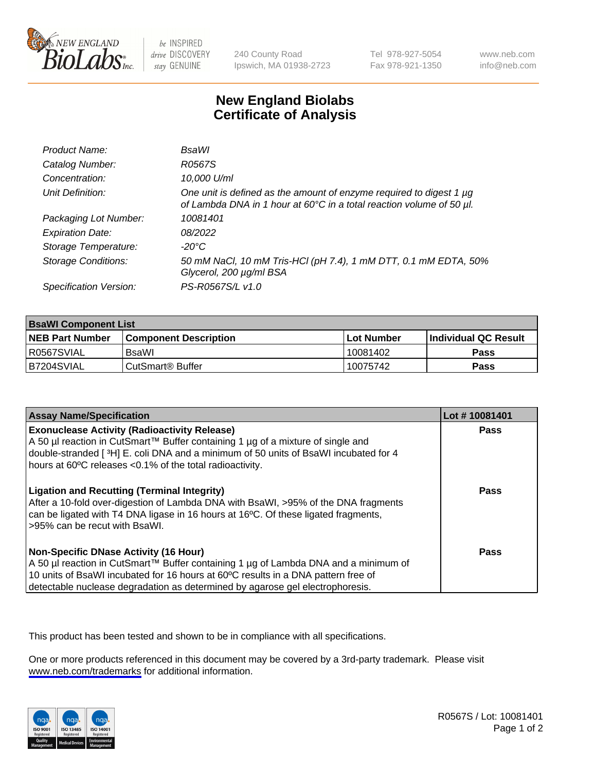

be INSPIRED drive DISCOVERY stay GENUINE

240 County Road Ipswich, MA 01938-2723 Tel 978-927-5054 Fax 978-921-1350

www.neb.com info@neb.com

## **New England Biolabs Certificate of Analysis**

| Product Name:              | <b>BsaWI</b>                                                                                                                                |
|----------------------------|---------------------------------------------------------------------------------------------------------------------------------------------|
| Catalog Number:            | R0567S                                                                                                                                      |
| Concentration:             | 10,000 U/ml                                                                                                                                 |
| Unit Definition:           | One unit is defined as the amount of enzyme required to digest 1 µg<br>of Lambda DNA in 1 hour at 60°C in a total reaction volume of 50 µl. |
| Packaging Lot Number:      | 10081401                                                                                                                                    |
| <b>Expiration Date:</b>    | 08/2022                                                                                                                                     |
| Storage Temperature:       | $-20^{\circ}$ C                                                                                                                             |
| <b>Storage Conditions:</b> | 50 mM NaCl, 10 mM Tris-HCl (pH 7.4), 1 mM DTT, 0.1 mM EDTA, 50%<br>Glycerol, 200 µg/ml BSA                                                  |
| Specification Version:     | PS-R0567S/L v1.0                                                                                                                            |

| <b>BsaWI Component List</b> |                         |              |                             |  |  |
|-----------------------------|-------------------------|--------------|-----------------------------|--|--|
| <b>NEB Part Number</b>      | l Component Description | l Lot Number | <b>Individual QC Result</b> |  |  |
| R0567SVIAL                  | BsaWl                   | 10081402     | Pass                        |  |  |
| B7204SVIAL                  | l CutSmart® Buffer      | 10075742     | Pass                        |  |  |

| <b>Assay Name/Specification</b>                                                                                                                                                                                                                                                                           | Lot #10081401 |
|-----------------------------------------------------------------------------------------------------------------------------------------------------------------------------------------------------------------------------------------------------------------------------------------------------------|---------------|
| <b>Exonuclease Activity (Radioactivity Release)</b><br>A 50 µl reaction in CutSmart™ Buffer containing 1 µg of a mixture of single and<br>double-stranded [3H] E. coli DNA and a minimum of 50 units of BsaWI incubated for 4<br>hours at 60°C releases <0.1% of the total radioactivity.                 | Pass          |
| <b>Ligation and Recutting (Terminal Integrity)</b><br>After a 10-fold over-digestion of Lambda DNA with BsaWI, >95% of the DNA fragments<br>can be ligated with T4 DNA ligase in 16 hours at 16°C. Of these ligated fragments,<br>>95% can be recut with BsaWI.                                           | <b>Pass</b>   |
| <b>Non-Specific DNase Activity (16 Hour)</b><br>A 50 µl reaction in CutSmart™ Buffer containing 1 µg of Lambda DNA and a minimum of<br>10 units of BsaWI incubated for 16 hours at 60°C results in a DNA pattern free of<br>detectable nuclease degradation as determined by agarose gel electrophoresis. | Pass          |

This product has been tested and shown to be in compliance with all specifications.

One or more products referenced in this document may be covered by a 3rd-party trademark. Please visit <www.neb.com/trademarks>for additional information.